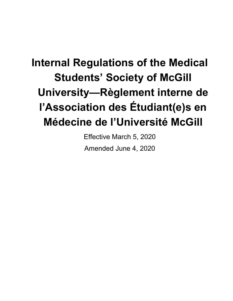# **Internal Regulations of the Medical Students' Society of McGill University—Règlement interne de l'Association des Étudiant(e)s en Médecine de l'Université McGill**

Effective March 5, 2020 Amended June 4, 2020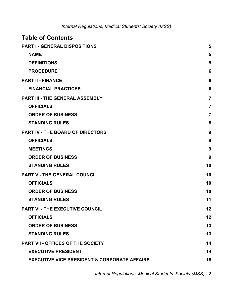| <b>Table of Contents</b>                                |                 |
|---------------------------------------------------------|-----------------|
| <b>PART I - GENERAL DISPOSITIONS</b>                    | 5               |
| <b>NAME</b>                                             | 5               |
| <b>DEFINITIONS</b>                                      | 5               |
| <b>PROCEDURE</b>                                        | $6\phantom{1}6$ |
| <b>PART II - FINANCE</b>                                | $6\phantom{1}6$ |
| <b>FINANCIAL PRACTICES</b>                              | 6               |
| <b>PART III - THE GENERAL ASSEMBLY</b>                  | $\overline{7}$  |
| <b>OFFICIALS</b>                                        | $\overline{7}$  |
| <b>ORDER OF BUSINESS</b>                                | $\overline{7}$  |
| <b>STANDING RULES</b>                                   | 8               |
| <b>PART IV - THE BOARD OF DIRECTORS</b>                 | 9               |
| <b>OFFICIALS</b>                                        | 9               |
| <b>MEETINGS</b>                                         | 9               |
| <b>ORDER OF BUSINESS</b>                                | 9               |
| <b>STANDING RULES</b>                                   | 10              |
| <b>PART V - THE GENERAL COUNCIL</b>                     | 10              |
| <b>OFFICIALS</b>                                        | 10              |
| <b>ORDER OF BUSINESS</b>                                | 10              |
| <b>STANDING RULES</b>                                   | 11              |
| <b>PART VI - THE EXECUTIVE COUNCIL</b>                  | 12              |
| <b>OFFICIALS</b>                                        | 12              |
| <b>ORDER OF BUSINESS</b>                                | 13              |
| <b>STANDING RULES</b>                                   | 13              |
| <b>PART VII - OFFICES OF THE SOCIETY</b>                | 14              |
| <b>EXECUTIVE PRESIDENT</b>                              | 14              |
| <b>EXECUTIVE VICE PRESIDENT &amp; CORPORATE AFFAIRS</b> | 15              |

*Internal Regulations, Medical Students' Society (MSS) -* 2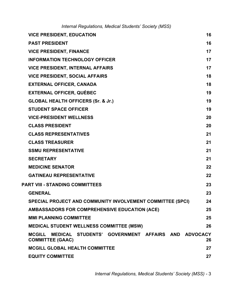| <b>VICE PRESIDENT, EDUCATION</b>                                                              | 16 |
|-----------------------------------------------------------------------------------------------|----|
| <b>PAST PRESIDENT</b>                                                                         | 16 |
| <b>VICE PRESIDENT, FINANCE</b>                                                                | 17 |
| <b>INFORMATION TECHNOLOGY OFFICER</b>                                                         | 17 |
| <b>VICE PRESIDENT, INTERNAL AFFAIRS</b>                                                       | 17 |
| <b>VICE PRESIDENT, SOCIAL AFFAIRS</b>                                                         | 18 |
| <b>EXTERNAL OFFICER, CANADA</b>                                                               | 18 |
| <b>EXTERNAL OFFICER, QUÉBEC</b>                                                               | 19 |
| <b>GLOBAL HEALTH OFFICERS (Sr. &amp; Jr.)</b>                                                 | 19 |
| <b>STUDENT SPACE OFFICER</b>                                                                  | 19 |
| <b>VICE-PRESIDENT WELLNESS</b>                                                                | 20 |
| <b>CLASS PRESIDENT</b>                                                                        | 20 |
| <b>CLASS REPRESENTATIVES</b>                                                                  | 21 |
| <b>CLASS TREASURER</b>                                                                        | 21 |
| <b>SSMU REPRESENTATIVE</b>                                                                    | 21 |
| <b>SECRETARY</b>                                                                              | 21 |
| <b>MEDICINE SENATOR</b>                                                                       | 22 |
| <b>GATINEAU REPRESENTATIVE</b>                                                                | 22 |
| PART VIII - STANDING COMMITTEES                                                               | 23 |
| <b>GENERAL</b>                                                                                | 23 |
| SPECIAL PROJECT AND COMMUNITY INVOLVEMENT COMMITTEE (SPCI)                                    | 24 |
| <b>AMBASSADORS FOR COMPREHENSIVE EDUCATION (ACE)</b>                                          | 25 |
| <b>MMI PLANNING COMMITTEE</b>                                                                 | 25 |
| <b>MEDICAL STUDENT WELLNESS COMMITTEE (MSW)</b>                                               | 26 |
| MEDICAL STUDENTS' GOVERNMENT AFFAIRS AND ADVOCACY<br><b>MCGILL</b><br><b>COMMITTEE (GAAC)</b> | 26 |
| <b>MCGILL GLOBAL HEALTH COMMITTEE</b>                                                         | 27 |
| <b>EQUITY COMMITTEE</b>                                                                       | 27 |

*Internal Regulations, Medical Students' Society (MSS) -* 3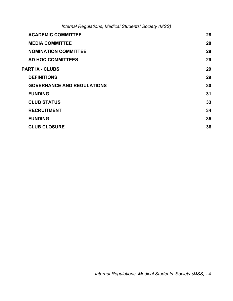| <b>ACADEMIC COMMITTEE</b>         | 28 |
|-----------------------------------|----|
| <b>MEDIA COMMITTEE</b>            | 28 |
| <b>NOMINATION COMMITTEE</b>       | 28 |
| <b>AD HOC COMMITTEES</b>          | 29 |
| <b>PART IX - CLUBS</b>            | 29 |
| <b>DEFINITIONS</b>                | 29 |
| <b>GOVERNANCE AND REGULATIONS</b> | 30 |
| <b>FUNDING</b>                    | 31 |
| <b>CLUB STATUS</b>                | 33 |
| <b>RECRUITMENT</b>                | 34 |
| <b>FUNDING</b>                    | 35 |
| <b>CLUB CLOSURE</b>               | 36 |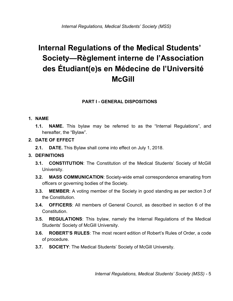# **Internal Regulations of the Medical Students' Society—Règlement interne de l'Association des Étudiant(e)s en Médecine de l'Université McGill**

#### **PART I - GENERAL DISPOSITIONS**

#### <span id="page-4-1"></span><span id="page-4-0"></span>**1. NAME**

**1.1. NAME.** This bylaw may be referred to as the "Internal Regulations", and hereafter, the "Bylaw".

#### **2. DATE OF EFFECT**

**2.1. DATE.** This Bylaw shall come into effect on July 1, 2018.

# <span id="page-4-2"></span>**3. DEFINITIONS**

- **3.1. CONSTITUTION**: The Constitution of the Medical Students' Society of McGill University.
- **3.2. MASS COMMUNICATION**: Society-wide email correspondence emanating from officers or governing bodies of the Society.
- **3.3. MEMBER**: A voting member of the Society in good standing as per section 3 of the Constitution.
- **3.4. OFFICERS**: All members of General Council, as described in section 6 of the Constitution.
- **3.5. REGULATIONS**: This bylaw, namely the Internal Regulations of the Medical Students' Society of McGill University.
- **3.6. ROBERT'S RULES**: The most recent edition of Robert's Rules of Order, a code of procedure.
- **3.7. SOCIETY**: The Medical Students' Society of McGill University.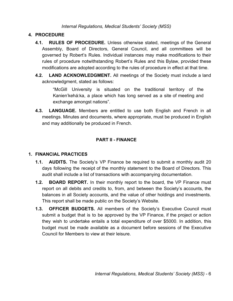# <span id="page-5-0"></span>**4. PROCEDURE**

- **4.1. RULES OF PROCEDURE.** Unless otherwise stated, meetings of the General Assembly, Board of Directors, General Council, and all committees will be governed by Robert's Rules. Individual instances may make modifications to their rules of procedure notwithstanding Robert's Rules and this Bylaw, provided these modifications are adopted according to the rules of procedure in effect at that time.
- **4.2. LAND ACKNOWLEDGMENT.** All meetings of the Society must include a land acknowledgment, stated as follows:

"McGill University is situated on the traditional territory of the Kanien'kehá:ka, a place which has long served as a site of meeting and exchange amongst nations".

**4.3. LANGUAGE.** Members are entitled to use both English and French in all meetings. Minutes and documents, where appropriate, must be produced in English and may additionally be produced in French.

# **PART II - FINANCE**

# <span id="page-5-2"></span><span id="page-5-1"></span>**1. FINANCIAL PRACTICES**

- **1.1. AUDITS.** The Society's VP Finance be required to submit a monthly audit 20 days following the receipt of the monthly statement to the Board of Directors. This audit shall include a list of transactions with accompanying documentation.
- **1.2. BOARD REPORT.** In their monthly report to the board, the VP Finance must report on all debits and credits to, from, and between the Society's accounts, the balances in all Society accounts, and the value of other holdings and investments. This report shall be made public on the Society's Website.
- **1.3. OFFICER BUDGETS.** All members of the Society's Executive Council must submit a budget that is to be approved by the VP Finance, if the project or action they wish to undertake entails a total expenditure of over \$5000. In addition, this budget must be made available as a document before sessions of the Executive Council for Members to view at their leisure.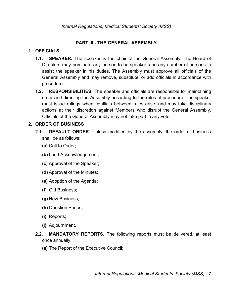#### **PART III - THE GENERAL ASSEMBLY**

# <span id="page-6-1"></span><span id="page-6-0"></span>**1. OFFICIALS**

- **1.1. SPEAKER.** The speaker is the chair of the General Assembly. The Board of Directors may nominate any person to be speaker, and any number of persons to assist the speaker in his duties. The Assembly must approve all officials of the General Assembly and may remove, substitute, or add officials in accordance with procedure.
- **1.2. RESPONSIBILITIES.** The speaker and officials are responsible for maintaining order and directing the Assembly according to the rules of procedure. The speaker must issue rulings when conflicts between rules arise, and may take disciplinary actions at their discretion against Members who disrupt the General Assembly. Officials of the General Assembly may not take part in any vote.

#### <span id="page-6-2"></span>**2. ORDER OF BUSINESS**

- **2.1. DEFAULT ORDER.** Unless modified by the assembly, the order of business shall be as follows:
	- **(a)** Call to Order;
	- **(b)** Land Acknowledgement;
	- **(c)** Approval of the Speaker;
	- **(d)** Approval of the Minutes;
	- **(e)** Adoption of the Agenda;
	- **(f)** Old Business;
	- **(g)** New Business;
	- **(h)** Question Period;
	- **(i)** Reports;
	- **(j)** Adjournment.
- **2.2. MANDATORY REPORTS.** The following reports must be delivered, at least once annually:
	- **(a)** The Report of the Executive Council;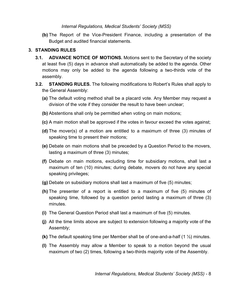**(b)** The Report of the Vice-President Finance, including a presentation of the Budget and audited financial statements.

# <span id="page-7-0"></span>**3. STANDING RULES**

- **3.1. ADVANCE NOTICE OF MOTIONS.** Motions sent to the Secretary of the society at least five (5) days in advance shall automatically be added to the agenda. Other motions may only be added to the agenda following a two-thirds vote of the assembly.
- **3.2. STANDING RULES.** The following modifications to Robert's Rules shall apply to the General Assembly:
	- **(a)** The default voting method shall be a placard vote. Any Member may request a division of the vote if they consider the result to have been unclear;
	- **(b)** Abstentions shall only be permitted when voting on main motions;
	- **(c)** A main motion shall be approved if the votes in favour exceed the votes against;
	- **(d)** The mover(s) of a motion are entitled to a maximum of three (3) minutes of speaking time to present their motions;
	- **(e)** Debate on main motions shall be preceded by a Question Period to the movers, lasting a maximum of three (3) minutes;
	- **(f)** Debate on main motions, excluding time for subsidiary motions, shall last a maximum of ten (10) minutes; during debate, movers do not have any special speaking privileges;
	- **(g)** Debate on subsidiary motions shall last a maximum of five (5) minutes;
	- **(h)** The presenter of a report is entitled to a maximum of five (5) minutes of speaking time, followed by a question period lasting a maximum of three (3) minutes.
	- **(i)** The General Question Period shall last a maximum of five (5) minutes.
	- **(j)** All the time limits above are subject to extension following a majority vote of the Assembly;
	- **(k)** The default speaking time per Member shall be of one-and-a-half (1 ½) minutes.
	- **(l)** The Assembly may allow a Member to speak to a motion beyond the usual maximum of two (2) times, following a two-thirds majority vote of the Assembly.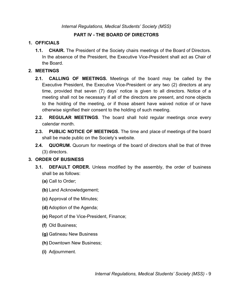# **PART IV - THE BOARD OF DIRECTORS**

#### <span id="page-8-1"></span><span id="page-8-0"></span>**1. OFFICIALS**

**1.1. CHAIR.** The President of the Society chairs meetings of the Board of Directors. In the absence of the President, the Executive Vice-President shall act as Chair of the Board.

#### <span id="page-8-2"></span>**2. MEETINGS**

- **2.1. CALLING OF MEETINGS.** Meetings of the board may be called by the Executive President, the Executive Vice-President or any two (2) directors at any time, provided that seven (7) days' notice is given to all directors. Notice of a meeting shall not be necessary if all of the directors are present, and none objects to the holding of the meeting, or if those absent have waived notice of or have otherwise signified their consent to the holding of such meeting.
- **2.2. REGULAR MEETINGS**. The board shall hold regular meetings once every calendar month.
- **2.3. PUBLIC NOTICE OF MEETINGS.** The time and place of meetings of the board shall be made public on the Society's website.
- **2.4. QUORUM.** Quorum for meetings of the board of directors shall be that of three (3) directors.

#### <span id="page-8-3"></span>**3. ORDER OF BUSINESS**

- **3.1. DEFAULT ORDER.** Unless modified by the assembly, the order of business shall be as follows:
	- **(a)** Call to Order;
	- **(b)** Land Acknowledgement;
	- **(c)** Approval of the Minutes;
	- **(d)** Adoption of the Agenda;
	- **(e)** Report of the Vice-President, Finance;
	- **(f)** Old Business;
	- **(g)** Gatineau New Business
	- **(h)** Downtown New Business;
	- **(i)** Adjournment.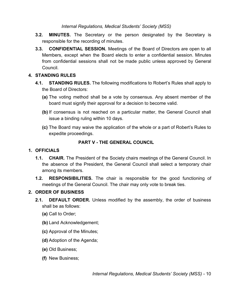- **3.2. MINUTES.** The Secretary or the person designated by the Secretary is responsible for the recording of minutes.
- **3.3. CONFIDENTIAL SESSION.** Meetings of the Board of Directors are open to all Members, except when the Board elects to enter a confidential session. Minutes from confidential sessions shall not be made public unless approved by General Council.

#### <span id="page-9-0"></span>**4. STANDING RULES**

- **4.1. STANDING RULES.** The following modifications to Robert's Rules shall apply to the Board of Directors:
	- **(a)** The voting method shall be a vote by consensus. Any absent member of the board must signify their approval for a decision to become valid.
	- **(b)** If consensus is not reached on a particular matter, the General Council shall issue a binding ruling within 10 days.
	- **(c)** The Board may waive the application of the whole or a part of Robert's Rules to expedite proceedings.

# **PART V - THE GENERAL COUNCIL**

#### <span id="page-9-2"></span><span id="page-9-1"></span>**1. OFFICIALS**

- **1.1. CHAIR.** The President of the Society chairs meetings of the General Council. In the absence of the President, the General Council shall select a temporary chair among its members.
- **1.2. RESPONSIBILITIES.** The chair is responsible for the good functioning of meetings of the General Council. The chair may only vote to break ties.

# <span id="page-9-3"></span>**2. ORDER OF BUSINESS**

- **2.1. DEFAULT ORDER.** Unless modified by the assembly, the order of business shall be as follows:
	- **(a)** Call to Order;
	- **(b)** Land Acknowledgement;
	- **(c)** Approval of the Minutes;
	- **(d)** Adoption of the Agenda;
	- **(e)** Old Business;
	- **(f)** New Business;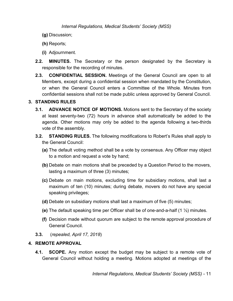- **(g)** Discussion;
- **(h)** Reports;
- **(i)** Adjournment.
- **2.2. MINUTES.** The Secretary or the person designated by the Secretary is responsible for the recording of minutes.
- **2.3. CONFIDENTIAL SESSION.** Meetings of the General Council are open to all Members, except during a confidential session when mandated by the Constitution, or when the General Council enters a Committee of the Whole. Minutes from confidential sessions shall not be made public unless approved by General Council.

# <span id="page-10-0"></span>**3. STANDING RULES**

- **3.1. ADVANCE NOTICE OF MOTIONS.** Motions sent to the Secretary of the society at least seventy-two (72) hours in advance shall automatically be added to the agenda. Other motions may only be added to the agenda following a two-thirds vote of the assembly.
- **3.2. STANDING RULES.** The following modifications to Robert's Rules shall apply to the General Council:
	- **(a)** The default voting method shall be a vote by consensus. Any Officer may object to a motion and request a vote by hand;
	- **(b)** Debate on main motions shall be preceded by a Question Period to the movers, lasting a maximum of three (3) minutes;
	- **(c)** Debate on main motions, excluding time for subsidiary motions, shall last a maximum of ten (10) minutes; during debate, movers do not have any special speaking privileges;
	- **(d)** Debate on subsidiary motions shall last a maximum of five (5) minutes;
	- **(e)** The default speaking time per Officer shall be of one-and-a-half (1 ½) minutes.
	- **(f)** Decision made without quorum are subject to the remote approval procedure of General Council.
- **3.3.** (*repealed, April 17, 2018*)

#### **4. REMOTE APPROVAL**

**4.1. SCOPE.** Any motion except the budget may be subject to a remote vote of General Council without holding a meeting. Motions adopted at meetings of the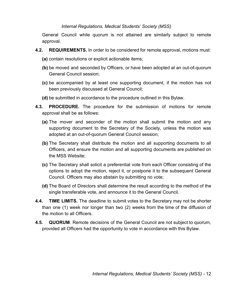General Council while quorum is not attained are similarly subject to remote approval.

- **4.2. REQUIREMENTS.** In order to be considered for remote approval, motions must:
	- **(a)** contain resolutions or explicit actionable items;
	- **(b)** be moved and seconded by Officers, or have been adopted at an out-of-quorum General Council session;
	- **(c)** be accompanied by at least one supporting document, if the motion has not been previously discussed at General Council;
	- **(d)** be submitted in accordance to the procedure outlined in this Bylaw.
- **4.3. PROCEDURE.** The procedure for the submission of motions for remote approval shall be as follows:
	- **(a)** The mover and seconder of the motion shall submit the motion and any supporting document to the Secretary of the Society, unless the motion was adopted at an out-of-quorum General Council session;
	- **(b)** The Secretary shall distribute the motion and all supporting documents to all Officers, and ensure the motion and all supporting documents are published on the MSS Website;
	- **(c)** The Secretary shall solicit a preferential vote from each Officer consisting of the options to adopt the motion, reject it, or postpone it to the subsequent General Council. Officers may also abstain by submitting no vote;
	- **(d)** The Board of Directors shall determine the result according to the method of the single transferable vote, and announce it to the General Council.
- **4.4. TIME LIMITS.** The deadline to submit votes to the Secretary may not be shorter than one (1) week nor longer than two (2) weeks from the time of the diffusion of the motion to all Officers.
- **4.5. QUORUM**. Remote decisions of the General Council are not subject to quorum, provided all Officers had the opportunity to vote in accordance with this Bylaw.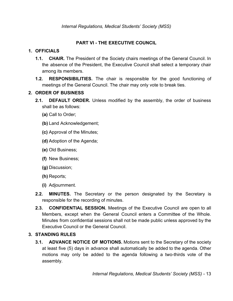# **PART VI - THE EXECUTIVE COUNCIL**

# <span id="page-12-1"></span><span id="page-12-0"></span>**1. OFFICIALS**

- **1.1. CHAIR.** The President of the Society chairs meetings of the General Council. In the absence of the President, the Executive Council shall select a temporary chair among its members.
- **1.2. RESPONSIBILITIES.** The chair is responsible for the good functioning of meetings of the General Council. The chair may only vote to break ties.

# <span id="page-12-2"></span>**2. ORDER OF BUSINESS**

- **2.1. DEFAULT ORDER.** Unless modified by the assembly, the order of business shall be as follows:
	- **(a)** Call to Order;
	- **(b)** Land Acknowledgement;
	- **(c)** Approval of the Minutes;
	- **(d)** Adoption of the Agenda;
	- **(e)** Old Business;
	- **(f)** New Business;
	- **(g)** Discussion;
	- **(h)** Reports;
	- **(i)** Adjournment.
- **2.2. MINUTES.** The Secretary or the person designated by the Secretary is responsible for the recording of minutes.
- **2.3. CONFIDENTIAL SESSION.** Meetings of the Executive Council are open to all Members, except when the General Council enters a Committee of the Whole. Minutes from confidential sessions shall not be made public unless approved by the Executive Council or the General Council.

# <span id="page-12-3"></span>**3. STANDING RULES**

**3.1. ADVANCE NOTICE OF MOTIONS.** Motions sent to the Secretary of the society at least five (5) days in advance shall automatically be added to the agenda. Other motions may only be added to the agenda following a two-thirds vote of the assembly.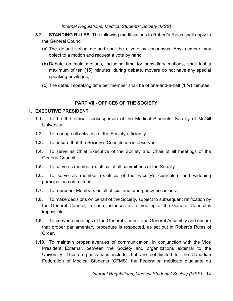- **3.2. STANDING RULES.** The following modifications to Robert's Rules shall apply to the General Council:
	- **(a)** The default voting method shall be a vote by consensus. Any member may object to a motion and request a vote by hand;
	- **(b)** Debate on main motions, including time for subsidiary motions, shall last a maximum of ten (15) minutes; during debate, movers do not have any special speaking privileges;
	- **(c)** The default speaking time per member shall be of one-and-a-half (1 ½) minutes.

# **PART VII - OFFICES OF THE SOCIETY**

#### <span id="page-13-1"></span><span id="page-13-0"></span>**1. EXECUTIVE PRESIDENT**

- **1.1.** To be the official spokesperson of the Medical Students' Society of McGill University.
- **1.2.** To manage all activities of the Society efficiently.
- **1.3.** To ensure that the Society's Constitution is observed.
- **1.4.** To serve as Chief Executive of the Society and Chair of all meetings of the General Council.
- **1.5.** To serve as member ex-officio of all committees of the Society.
- **1.6.** To serve as member ex-officio of the Faculty's curriculum and widening participation committees.
- **1.7.** To represent Members on all official and emergency occasions.
- **1.8.** To make decisions on behalf of the Society, subject to subsequent ratification by the General Council, in such instances as a meeting of the General Council is impossible.
- **1.9.** To convene meetings of the General Council and General Assembly and ensure that proper parliamentary procedure is respected, as set out in Robert's Rules of Order.
- **1.10.** To maintain proper avenues of communication, in conjunction with the Vice President External, between the Society and organizations external to the University. These organizations include, but are not limited to, the Canadian Federation of Medical Students (CFMS), the Fédération médicale étudiante du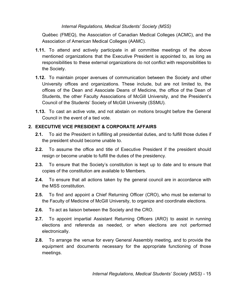Québec (FMEQ), the Association of Canadian Medical Colleges (ACMC), and the Association of American Medical Colleges (AAMC).

- **1.11.** To attend and actively participate in all committee meetings of the above mentioned organizations that the Executive President is appointed to, as long as responsibilities to these external organizations do not conflict with responsibilities to the Society.
- **1.12.** To maintain proper avenues of communication between the Society and other University offices and organizations. These include, but are not limited to, the offices of the Dean and Associate Deans of Medicine, the office of the Dean of Students, the other Faculty Associations of McGill University, and the President's Council of the Students' Society of McGill University (SSMU).
- **1.13.** To cast an active vote, and not abstain on motions brought before the General Council in the event of a tied vote.

# <span id="page-14-0"></span>**2. EXECUTIVE VICE PRESIDENT & CORPORATE AFFAIRS**

- **2.1.** To aid the President in fulfilling all presidential duties, and to fulfill those duties if the president should become unable to.
- **2.2.** To assume the office and title of Executive President if the president should resign or become unable to fulfill the duties of the presidency.
- **2.3.** To ensure that the Society's constitution is kept up to date and to ensure that copies of the constitution are available to Members.
- **2.4.** To ensure that all actions taken by the general council are in accordance with the MSS constitution.
- **2.5.** To find and appoint a Chief Returning Officer (CRO), who must be external to the Faculty of Medicine of McGill University, to organize and coordinate elections.
- **2.6.** To act as liaison between the Society and the CRO.
- **2.7.** To appoint impartial Assistant Returning Officers (ARO) to assist in running elections and referenda as needed, or when elections are not performed electronically.
- **2.8.** To arrange the venue for every General Assembly meeting, and to provide the equipment and documents necessary for the appropriate functioning of those meetings.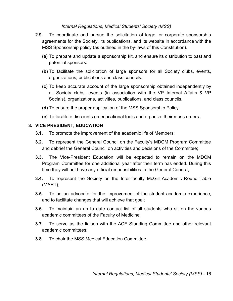- **2.9.** To coordinate and pursue the solicitation of large, or corporate sponsorship agreements for the Society, its publications, and its website in accordance with the MSS Sponsorship policy (as outlined in the by-laws of this Constitution).
	- **(a)** To prepare and update a sponsorship kit, and ensure its distribution to past and potential sponsors.
	- **(b)** To facilitate the solicitation of large sponsors for all Society clubs, events, organizations, publications and class councils.
	- **(c)** To keep accurate account of the large sponsorship obtained independently by all Society clubs, events (in association with the VP Internal Affairs & VP Socials), organizations, activities, publications, and class councils.
	- **(d)** To ensure the proper application of the MSS Sponsorship Policy.
	- **(e)** To facilitate discounts on educational tools and organize their mass orders.

#### <span id="page-15-0"></span>**3. VICE PRESIDENT, EDUCATION**

- **3.1.** To promote the improvement of the academic life of Members;
- **3.2.** To represent the General Council on the Faculty's MDCM Program Committee and debrief the General Council on activities and decisions of the Committee;
- **3.3.** The Vice-President Education will be expected to remain on the MDCM Program Committee for one additional year after their term has ended. During this time they will not have any official responsibilities to the General Council;
- **3.4.** To represent the Society on the Inter-faculty McGill Academic Round Table (MART);
- **3.5.** To be an advocate for the improvement of the student academic experience, and to facilitate changes that will achieve that goal;
- **3.6.** To maintain an up to date contact list of all students who sit on the various academic committees of the Faculty of Medicine;
- **3.7.** To serve as the liaison with the ACE Standing Committee and other relevant academic committees;
- **3.8.** To chair the MSS Medical Education Committee.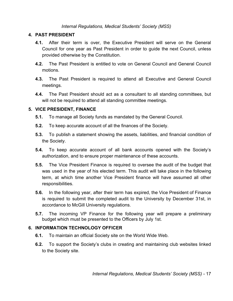#### <span id="page-16-0"></span>**4. PAST PRESIDENT**

- **4.1.** After their term is over, the Executive President will serve on the General Council for one year as Past President in order to guide the next Council, unless provided otherwise by the Constitution.
- **4.2.** The Past President is entitled to vote on General Council and General Council motions.
- **4.3.** The Past President is required to attend all Executive and General Council meetings.
- **4.4.** The Past President should act as a consultant to all standing committees, but will not be required to attend all standing committee meetings.

# <span id="page-16-1"></span>**5. VICE PRESIDENT, FINANCE**

- **5.1.** To manage all Society funds as mandated by the General Council.
- **5.2.** To keep accurate account of all the finances of the Society.
- **5.3.** To publish a statement showing the assets, liabilities, and financial condition of the Society.
- **5.4.** To keep accurate account of all bank accounts opened with the Society's authorization, and to ensure proper maintenance of these accounts.
- **5.5.** The Vice President Finance is required to oversee the audit of the budget that was used in the year of his elected term. This audit will take place in the following term, at which time another Vice President finance will have assumed all other responsibilities.
- **5.6.** In the following year, after their term has expired, the Vice President of Finance is required to submit the completed audit to the University by December 31st, in accordance to McGill University regulations.
- **5.7.** The incoming VP Finance for the following year will prepare a preliminary budget which must be presented to the Officers by July 1st.

# <span id="page-16-2"></span>**6. INFORMATION TECHNOLOGY OFFICER**

- **6.1.** To maintain an official Society site on the World Wide Web.
- **6.2.** To support the Society's clubs in creating and maintaining club websites linked to the Society site.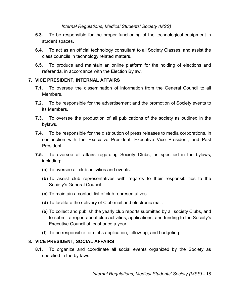- **6.3.** To be responsible for the proper functioning of the technological equipment in student spaces.
- **6.4.** To act as an official technology consultant to all Society Classes, and assist the class councils in technology related matters.
- **6.5.** To produce and maintain an online platform for the holding of elections and referenda, in accordance with the Election Bylaw.

#### <span id="page-17-0"></span>**7. VICE PRESIDENT, INTERNAL AFFAIRS**

- **7.1.** To oversee the dissemination of information from the General Council to all Members.
- **7.2.** To be responsible for the advertisement and the promotion of Society events to its Members.
- **7.3.** To oversee the production of all publications of the society as outlined in the bylaws.
- **7.4.** To be responsible for the distribution of press releases to media corporations, in conjunction with the Executive President, Executive Vice President, and Past President.
- **7.5.** To oversee all affairs regarding Society Clubs, as specified in the bylaws, including:
	- **(a)** To oversee all club activities and events.
	- **(b)** To assist club representatives with regards to their responsibilities to the Society's General Council.
	- **(c)** To maintain a contact list of club representatives.
	- **(d)** To facilitate the delivery of Club mail and electronic mail.
	- **(e)** To collect and publish the yearly club reports submitted by all society Clubs, and to submit a report about club activities, applications, and funding to the Society's Executive Council at least once a year.
	- **(f)** To be responsible for clubs application, follow-up, and budgeting.

#### <span id="page-17-1"></span>**8. VICE PRESIDENT, SOCIAL AFFAIRS**

**8.1.** To organize and coordinate all social events organized by the Society as specified in the by-laws.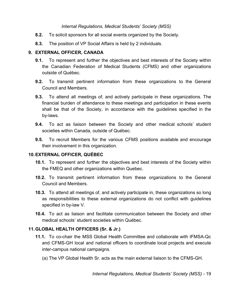- **8.2.** To solicit sponsors for all social events organized by the Society.
- **8.3.** The position of VP Social Affairs is held by 2 individuals.

#### <span id="page-18-0"></span>**9. EXTERNAL OFFICER, CANADA**

- **9.1.** To represent and further the objectives and best interests of the Society within the Canadian Federation of Medical Students (CFMS) and other organizations outside of Québec.
- **9.2.** To transmit pertinent information from these organizations to the General Council and Members.
- **9.3.** To attend all meetings of, and actively participate in these organizations. The financial burden of attendance to these meetings and participation in these events shall be that of the Society, in accordance with the guidelines specified in the by-laws.
- **9.4.** To act as liaison between the Society and other medical schools' student societies within Canada, outside of Québec.
- **9.5.** To recruit Members for the various CFMS positions available and encourage their involvement in this organization.

#### <span id="page-18-1"></span>**10.EXTERNAL OFFICER, QUÉBEC**

- **10.1.** To represent and further the objectives and best interests of the Society within the FMEQ and other organizations within Quebec.
- **10.2.** To transmit pertinent information from these organizations to the General Council and Members.
- **10.3.** To attend all meetings of, and actively participate in, these organizations so long as responsibilities to these external organizations do not conflict with guidelines specified in by-law V.
- **10.4.** To act as liaison and facilitate communication between the Society and other medical schools' student societies within Québec.

#### <span id="page-18-2"></span>**11.GLOBAL HEALTH OFFICERS (Sr. & Jr.)**

- **11.1.** To co-chair the MSS Global Health Committee and collaborate with IFMSA-Qc and CFMS-GH local and national officers to coordinate local projects and execute inter-campus national campaigns.
	- (a) The VP Global Health Sr. acts as the main external liaison to the CFMS-GH.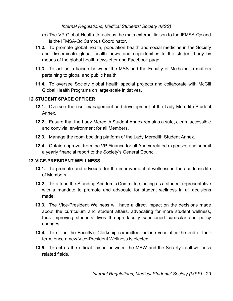- (b) The VP Global Health Jr. acts as the main external liaison to the IFMSA-Qc and is the IFMSA-Qc Campus Coordinator.
- **11.2.** To promote global health, population health and social medicine in the Society and disseminate global health news and opportunities to the student body by means of the global health newsletter and Facebook page.
- **11.3.** To act as a liaison between the MSS and the Faculty of Medicine in matters pertaining to global and public health.
- **11.4.** To oversee Society global health special projects and collaborate with McGill Global Health Programs on large-scale initiatives.

#### <span id="page-19-0"></span>**12.STUDENT SPACE OFFICER**

- **12.1.** Oversee the use, management and development of the Lady Meredith Student Annex.
- **12.2.** Ensure that the Lady Meredith Student Annex remains a safe, clean, accessible and convivial environment for all Members.
- **12.3.** Manage the room booking platform of the Lady Meredith Student Annex.
- **12.4.** Obtain approval from the VP Finance for all Annex-related expenses and submit a yearly financial report to the Society's General Council.

#### <span id="page-19-1"></span>**13.VICE-PRESIDENT WELLNESS**

- **13.1.** To promote and advocate for the improvement of wellness in the academic life of Members.
- **13.2.** To attend the Standing Academic Committee, acting as a student representative with a mandate to promote and advocate for student wellness in all decisions made.
- **13.3.** The Vice-President Wellness will have a direct impact on the decisions made about the curriculum and student affairs, advocating for more student wellness, thus improving students' lives through faculty sanctioned curricular and policy changes.
- **13.4.** To sit on the Faculty's Clerkship committee for one year after the end of their term, once a new Vice-President Wellness is elected.
- **13.5.** To act as the official liaison between the MSW and the Society in all wellness related fields.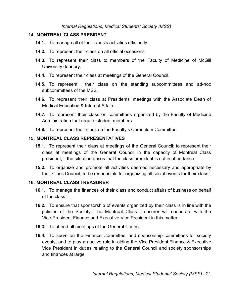# <span id="page-20-0"></span>**14. MONTREAL CLASS PRESIDENT**

- **14.1.** To manage all of their class's activities efficiently.
- **14.2.** To represent their class on all official occasions.
- **14.3.** To represent their class to members of the Faculty of Medicine of McGill University deanery.
- **14.4.** To represent their class at meetings of the General Council.
- **14.5.** To represent their class on the standing subcommittees and ad-hoc subcommittees of the MSS.
- **14.6.** To represent their class at Presidents' meetings with the Associate Dean of Medical Education & Internal Affairs.
- **14.7.** To represent their class on committees organized by the Faculty of Medicine Administration that require student members.
- **14.8.** To represent their class on the Faculty's Curriculum Committee.

# <span id="page-20-1"></span>**15. MONTREAL CLASS REPRESENTATIVES**

- **15.1.** To represent their class at meetings of the General Council; to represent their class at meetings of the General Council in the capacity of Montreal Class president, if the situation arises that the class president is not in attendance.
- **15.2.** To organize and promote all activities deemed necessary and appropriate by their Class Council; to be responsible for organizing all social events for their class.

# <span id="page-20-2"></span>**16. MONTREAL CLASS TREASURER**

- **16.1.** To manage the finances of their class and conduct affairs of business on behalf of the class.
- **16.2.** To ensure that sponsorship of events organized by their class is in line with the policies of the Society. The Montreal Class Treasurer will cooperate with the Vice-President Finance and Executive Vice President in this matter.
- **16.3.** To attend all meetings of the General Council.
- **16.4.** To serve on the Finance Committee, and sponsorship committees for society events, and to play an active role in aiding the Vice President Finance & Executive Vice President in duties relating to the General Council and society sponsorships and finances at large.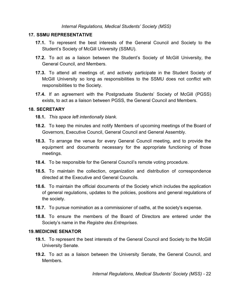#### <span id="page-21-0"></span>**17. SSMU REPRESENTATIVE**

- **17.1.** To represent the best interests of the General Council and Society to the Student's Society of McGill University (SSMU).
- **17.2.** To act as a liaison between the Student's Society of McGill University, the General Council, and Members.
- **17.3.** To attend all meetings of, and actively participate in the Student Society of McGill University so long as responsibilities to the SSMU does not conflict with responsibilities to the Society.
- **17.4.** If an agreement with the Postgraduate Students' Society of McGill (PGSS) exists, to act as a liaison between PGSS, the General Council and Members.

#### <span id="page-21-1"></span>**18. SECRETARY**

- **18.1.** *This space left intentionally blank.*
- **18.2.** To keep the minutes and notify Members of upcoming meetings of the Board of Governors, Executive Council, General Council and General Assembly.
- **18.3.** To arrange the venue for every General Council meeting, and to provide the equipment and documents necessary for the appropriate functioning of those meetings.
- **18.4.** To be responsible for the General Council's remote voting procedure.
- **18.5.** To maintain the collection, organization and distribution of correspondence directed at the Executive and General Councils.
- **18.6.** To maintain the official documents of the Society which includes the application of general regulations, updates to the policies, positions and general regulations of the society.
- **18.7.** To pursue nomination as a commissioner of oaths, at the society's expense.
- **18.8.** To ensure the members of the Board of Directors are entered under the Society's name in the *Registre des Entreprises*.

#### <span id="page-21-2"></span>**19.MEDICINE SENATOR**

- **19.1.** To represent the best interests of the General Council and Society to the McGill University Senate.
- **19.2.** To act as a liaison between the University Senate, the General Council, and Members.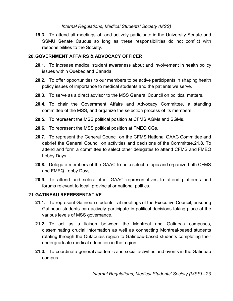**19.3.** To attend all meetings of, and actively participate in the University Senate and SSMU Senate Caucus so long as these responsibilities do not conflict with responsibilities to the Society.

# **20.GOVERNMENT AFFAIRS & ADVOCACY OFFICER**

- **20.1.** To increase medical student awareness about and involvement in health policy issues within Quebec and Canada.
- **20.2.** To offer opportunities to our members to be active participants in shaping health policy issues of importance to medical students and the patients we serve.
- **20.3.** To serve as a direct advisor to the MSS General Council on political matters.
- **20.4.** To chair the Government Affairs and Advocacy Committee, a standing committee of the MSS, and organize the selection process of its members.
- **20.5.** To represent the MSS political position at CFMS AGMs and SGMs.
- **20.6.** To represent the MSS political position at FMEQ CGs.
- **20.7.** To represent the General Council on the CFMS National GAAC Committee and debrief the General Council on activities and decisions of the Committee.**21.8.** To attend and form a committee to select other delegates to attend CFMS and FMEQ Lobby Days.
- **20.8.** Delegate members of the GAAC to help select a topic and organize both CFMS and FMEQ Lobby Days.
- **20.9.** To attend and select other GAAC representatives to attend platforms and forums relevant to local, provincial or national politics.

# <span id="page-22-0"></span>**21.GATINEAU REPRESENTATIVE**

- **21.1.** To represent Gatineau students at meetings of the Executive Council, ensuring Gatineau students can actively participate in political decisions taking place at the various levels of MSS governance.
- **21.2.** To act as a liaison between the Montreal and Gatineau campuses, disseminating crucial information as well as connecting Montreal-based students rotating through the Outaouais region to Gatineau-based students completing their undergraduate medical education in the region.
- **21.3.** To coordinate general academic and social activities and events in the Gatineau campus.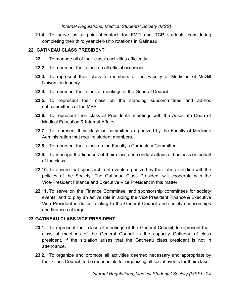**21.4.** To serve as a point-of-contact for FMD and TCP students considering completing their third year clerkship rotations in Gatineau.

#### **22. GATINEAU CLASS PRESIDENT**

- **22.1.** To manage all of their class's activities efficiently.
- **22.2.** To represent their class on all official occasions.
- **22.3.** To represent their class to members of the Faculty of Medicine of McGill University deanery.
- **22.4.** To represent their class at meetings of the General Council.
- **22.5.** To represent their class on the standing subcommittees and ad-hoc subcommittees of the MSS.
- **22.6.** To represent their class at Presidents' meetings with the Associate Dean of Medical Education & Internal Affairs.
- **22.7.** To represent their class on committees organized by the Faculty of Medicine Administration that require student members.
- **22.8.** To represent their class on the Faculty's Curriculum Committee.
- **22.9.** To manage the finances of their class and conduct affairs of business on behalf of the class.
- **22.10.** To ensure that sponsorship of events organized by their class is in line with the policies of the Society. The Gatineau Class President will cooperate with the Vice-President Finance and Executive Vice President in this matter.
- **22.11.** To serve on the Finance Committee, and sponsorship committees for society events, and to play an active role in aiding the Vice President Finance & Executive Vice President in duties relating to the General Council and society sponsorships and finances at large.

#### **23.GATINEAU CLASS VICE PRESIDENT**

- **23.1.** To represent their class at meetings of the General Council; to represent their class at meetings of the General Council in the capacity Gatineau of class president, if the situation arises that the Gatineau class president is not in attendance.
- **23.2.** To organize and promote all activities deemed necessary and appropriate by their Class Council; to be responsible for organizing all social events for their class.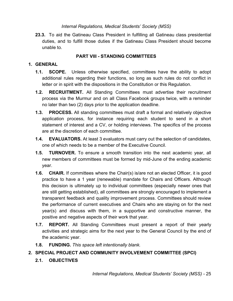**23.3.** To aid the Gatineau Class President in fulfilling all Gatineau class presidential duties, and to fulfill those duties if the Gatineau Class President should become unable to.

# **PART VIII - STANDING COMMITTEES**

# <span id="page-24-1"></span><span id="page-24-0"></span>**1. GENERAL**

- **1.1. SCOPE.** Unless otherwise specified, committees have the ability to adopt additional rules regarding their functions, so long as such rules do not conflict in letter or in spirit with the dispositions in the Constitution or this Regulation.
- **1.2. RECRUITMENT.** All Standing Committees must advertise their recruitment process via the Murmur and on all Class Facebook groups twice, with a reminder no later than two (2) days prior to the application deadline.
- **1.3. PROCESS.** All standing committees must draft a formal and relatively objective application process, for instance requiring each student to send in a short statement of interest and a CV, or holding interviews. The specifics of the process are at the discretion of each committee.
- **1.4. EVALUATORS.** At least 3 evaluators must carry out the selection of candidates, one of which needs to be a member of the Executive Council.
- **1.5. TURNOVER.** To ensure a smooth transition into the next academic year, all new members of committees must be formed by mid-June of the ending academic year.
- **1.6. CHAIR.** If committees where the Chair(s) is/are not an elected Officer, it is good practice to have a 1 year (renewable) mandate for Chairs and Officers. Although this decision is ultimately up to individual committees (especially newer ones that are still getting established), all committees are strongly encouraged to implement a transparent feedback and quality improvement process. Committees should review the performance of current executives and Chairs who are staying on for the next year(s) and discuss with them, in a supportive and constructive manner, the positive and negative aspects of their work that year.
- **1.7. REPORT.** All Standing Committees must present a report of their yearly activities and strategic aims for the next year to the General Council by the end of the academic year.
- **1.8. FUNDING.** *This space left intentionally blank.*

# <span id="page-24-2"></span>**2. SPECIAL PROJECT AND COMMUNITY INVOLVEMENT COMMITTEE (SPCI)**

**2.1. OBJECTIVES**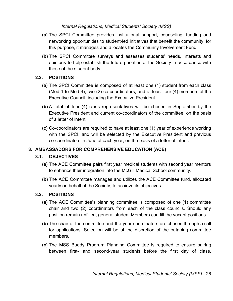- **(a)** The SPCI Committee provides institutional support, counseling, funding and networking opportunities to student-led initiatives that benefit the community; for this purpose, it manages and allocates the Community Involvement Fund.
- **(b)** The SPCI Committee surveys and assesses students' needs, interests and opinions to help establish the future priorities of the Society in accordance with those of the student body.

# **2.2. POSITIONS**

- **(a)** The SPCI Committee is composed of at least one (1) student from each class (Med-1 to Med-4), two (2) co-coordinators, and at least four (4) members of the Executive Council, including the Executive President.
- **(b)** A total of four (4) class representatives will be chosen in September by the Executive President and current co-coordinators of the committee, on the basis of a letter of intent.
- **(c)** Co-coordinators are required to have at least one (1) year of experience working with the SPCI, and will be selected by the Executive President and previous co-coordinators in June of each year, on the basis of a letter of intent.

# <span id="page-25-0"></span>**3. AMBASSADORS FOR COMPREHENSIVE EDUCATION (ACE)**

# **3.1. OBJECTIVES**

- **(a)** The ACE Committee pairs first year medical students with second year mentors to enhance their integration into the McGill Medical School community.
- **(b)** The ACE Committee manages and utilizes the ACE Committee fund, allocated yearly on behalf of the Society, to achieve its objectives.

# **3.2. POSITIONS**

- **(a)** The ACE Committee's planning committee is composed of one (1) committee chair and two (2) coordinators from each of the class councils. Should any position remain unfilled, general student Members can fill the vacant positions.
- **(b)** The chair of the committee and the year coordinators are chosen through a call for applications. Selection will be at the discretion of the outgoing committee members.
- **(c)** The MSS Buddy Program Planning Committee is required to ensure pairing between first- and second-year students before the first day of class.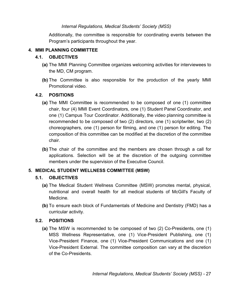Additionally, the committee is responsible for coordinating events between the Program's participants throughout the year.

# <span id="page-26-0"></span>**4. MMI PLANNING COMMITTEE**

# **4.1. OBJECTIVES**

- **(a)** The MMI Planning Committee organizes welcoming activities for interviewees to the MD, CM program.
- **(b)** The Committee is also responsible for the production of the yearly MMI Promotional video.

# **4.2. POSITIONS**

- **(a)** The MMI Committee is recommended to be composed of one (1) committee chair, four (4) MMI Event Coordinators, one (1) Student Panel Coordinator, and one (1) Campus Tour Coordinator. Additionally, the video planning committee is recommended to be composed of two (2) directors, one (1) scriptwriter, two (2) choreographers, one (1) person for filming, and one (1) person for editing. The composition of this committee can be modified at the discretion of the committee chair.
- **(b)** The chair of the committee and the members are chosen through a call for applications. Selection will be at the discretion of the outgoing committee members under the supervision of the Executive Council.

# <span id="page-26-1"></span>**5. MEDICAL STUDENT WELLNESS COMMITTEE (MSW)**

# **5.1. OBJECTIVES**

- **(a)** The Medical Student Wellness Committee (MSW) promotes mental, physical, nutritional and overall health for all medical students of McGill's Faculty of Medicine.
- **(b)** To ensure each block of Fundamentals of Medicine and Dentistry (FMD) has a curricular activity.

# **5.2. POSITIONS**

**(a)** The MSW is recommended to be composed of two (2) Co-Presidents, one (1) MSS Wellness Representative, one (1) Vice-President Publishing, one (1) Vice-President Finance, one (1) Vice-President Communications and one (1) Vice-President External. The committee composition can vary at the discretion of the Co-Presidents.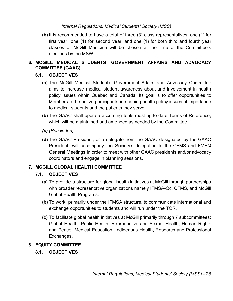**(b)** It is recommended to have a total of three (3) class representatives, one (1) for first year, one (1) for second year, and one (1) for both third and fourth year classes of McGill Medicine will be chosen at the time of the Committee's elections by the MSW.

# <span id="page-27-0"></span>**6. MCGILL MEDICAL STUDENTS' GOVERNMENT AFFAIRS AND ADVOCACY COMMITTEE (GAAC)**

# **6.1. OBJECTIVES**

- **(a)** The McGill Medical Student's Government Affairs and Advocacy Committee aims to increase medical student awareness about and involvement in health policy issues within Quebec and Canada. Its goal is to offer opportunities to Members to be active participants in shaping health policy issues of importance to medical students and the patients they serve.
- **(b)** The GAAC shall operate according to its most up-to-date Terms of Reference, which will be maintained and amended as needed by the Committee.
- *(c) (Rescinded)*
- **(d)** The GAAC President, or a delegate from the GAAC designated by the GAAC President, will accompany the Society's delegation to the CFMS and FMEQ General Meetings in order to meet with other GAAC presidents and/or advocacy coordinators and engage in planning sessions.

# <span id="page-27-1"></span>**7. MCGILL GLOBAL HEALTH COMMITTEE**

#### **7.1. OBJECTIVES**

- **(a)** To provide a structure for global health initiatives at McGill through partnerships with broader representative organizations namely IFMSA-Qc, CFMS, and McGill Global Health Programs.
- **(b)** To work, primarily under the IFMSA structure, to communicate international and exchange opportunities to students and will run under the TOR.
- **(c)** To facilitate global health initiatives at McGill primarily through 7 subcommittees: Global Health, Public Health, Reproductive and Sexual Health, Human Rights and Peace, Medical Education, Indigenous Health, Research and Professional Exchanges.

#### <span id="page-27-2"></span>**8. EQUITY COMMITTEE**

# **8.1. OBJECTIVES**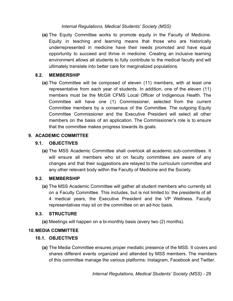**(a)** The Equity Committee works to promote equity in the Faculty of Medicine. Equity in teaching and learning means that those who are historically underrepresented in medicine have their needs promoted and have equal opportunity to succeed and thrive in medicine. Creating an inclusive learning environment allows all students to fully contribute to the medical faculty and will ultimately translate into better care for marginalized populations.

#### **8.2. MEMBERSHIP**

**(a)** The Committee will be composed of eleven (11) members, with at least one representative from each year of students. In addition, one of the eleven (11) members must be the McGill CFMS Local Officer of Indigenous Health. The Committee will have one (1) Commissioner, selected from the current Committee members by a consensus of the Committee. The outgoing Equity Committee Commissioner and the Executive President will select all other members on the basis of an application. The Commissioner's role is to ensure that the committee makes progress towards its goals.

#### <span id="page-28-0"></span>**9. ACADEMIC COMMITTEE**

#### **9.1. OBJECTIVES**

**(a)** The MSS Academic Committee shall overlook all academic sub-committees. It will ensure all members who sit on faculty committees are aware of any changes and that their suggestions are relayed to the curriculum committee and any other relevant body within the Faculty of Medicine and the Society.

# **9.2. MEMBERSHIP**

**(a)** The MSS Academic Committee will gather all student members who currently sit on a Faculty Committee. This includes, but is not limited to: the presidents of all 4 medical years, the Executive President and the VP Wellness. Faculty representatives may sit on the committee on an ad-hoc basis.

# **9.3. STRUCTURE**

**(a)** Meetings will happen on a bi-monthly basis (every two (2) months).

# <span id="page-28-1"></span>**10.MEDIA COMMITTEE**

# **10.1. OBJECTIVES**

**(a)** The Media Committee ensures proper mediatic presence of the MSS. It covers and shares different events organized and attended by MSS members. The members of this committee manage the various platforms: Instagram, Facebook and Twitter.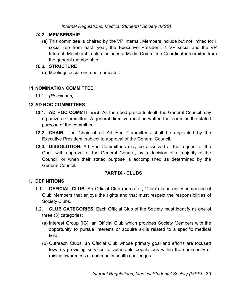#### *10.2.* **MEMBERSHIP**

**(a)** This committee is chaired by the VP Internal. Members include but not limited to: 1 social rep from each year, the Executive President, 1 VP social and the VP Internal. Membership also includes a Media Committee Coordinator recruited from the general membership.

#### *10.3.* **STRUCTURE**

**(a)** Meetings occur once per semester.

# <span id="page-29-0"></span>**11.NOMINATION COMMITTEE**

**11.1.** *(Rescinded)*

# <span id="page-29-1"></span>**12.AD HOC COMMITTEES**

- **12.1. AD HOC COMMITTEES.** As the need presents itself, the General Council may organize a Committee. A general directive must be written that contains the stated purpose of the committee.
- **12.2. CHAIR.** The Chair of all Ad Hoc Committees shall be appointed by the Executive President, subject to approval of the General Council.
- **12.3. DISSOLUTION.** Ad Hoc Committees may be dissolved at the request of the Chair with approval of the General Council, by a decision of a majority of the Council, or when their stated purpose is accomplished as determined by the General Council.

# **PART IX - CLUBS**

# <span id="page-29-3"></span><span id="page-29-2"></span>**1. DEFINITIONS**

- **1.1. OFFICIAL CLUB**: An Official Club (hereafter, "Club") is an entity composed of Club Members that enjoys the rights and that must respect the responsibilities of Society Clubs.
- **1.2. CLUB CATEGORIES**: Each Official Club of the Society must identify as one of three (3) categories:
	- (a) Interest Group (IG): an Official Club which provides Society Members with the opportunity to pursue interests or acquire skills related to a specific medical field.
	- (b) Outreach Clubs: an Official Club whose primary goal and efforts are focused towards providing services to vulnerable populations within the community or raising awareness of community health challenges.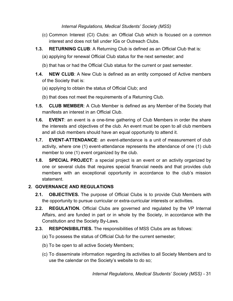- (c) Common Interest (CI) Clubs: an Official Club which is focused on a common interest and does not fall under IGs or Outreach Clubs.
- **1.3. RETURNING CLUB**: A Returning Club is defined as an Official Club that is:
	- (a) applying for renewal Official Club status for the next semester; and
	- (b) that has or had the Official Club status for the current or past semester.
- **1.4. NEW CLUB**: A New Club is defined as an entity composed of Active members of the Society that is:
	- (a) applying to obtain the status of Official Club; and
	- (b) that does not meet the requirements of a Returning Club.
- **1.5. CLUB MEMBER**: A Club Member is defined as any Member of the Society that manifests an interest in an Official Club.
- **1.6. EVENT**: an event is a one-time gathering of Club Members in order the share the interests and objectives of the club. An event must be open to all club members and all club members should have an equal opportunity to attend it.
- **1.7. EVENT-ATTENDANCE**: an event-attendance is a unit of measurement of club activity, where one (1) event-attendance represents the attendance of one (1) club member to one (1) event organized by the club.
- **1.8. SPECIAL PROJECT**: a special project is an event or an activity organized by one or several clubs that requires special financial needs and that provides club members with an exceptional opportunity in accordance to the club's mission statement.

# <span id="page-30-0"></span>**2. GOVERNANCE AND REGULATIONS**

- **2.1. OBJECTIVES.** The purpose of Official Clubs is to provide Club Members with the opportunity to pursue curricular or extra-curricular interests or activities.
- **2.2. REGULATION.** Official Clubs are governed and regulated by the VP Internal Affairs, and are funded in part or in whole by the Society, in accordance with the Constitution and the Society By-Laws.
- **2.3. RESPONSIBILITIES.** The responsibilities of MSS Clubs are as follows:
	- (a) To possess the status of Official Club for the current semester;
	- (b) To be open to all active Society Members;
	- (c) To disseminate information regarding its activities to all Society Members and to use the calendar on the Society's website to do so;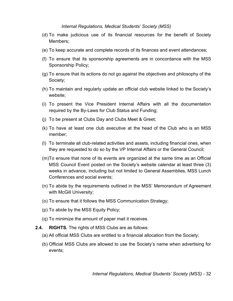- (d) To make judicious use of its financial resources for the benefit of Society Members;
- (e) To keep accurate and complete records of its finances and event attendances;
- (f) To ensure that its sponsorship agreements are in concordance with the MSS Sponsorship Policy;
- (g) To ensure that its actions do not go against the objectives and philosophy of the Society;
- (h) To maintain and regularly update an official club website linked to the Society's website;
- (i) To present the Vice President Internal Affairs with all the documentation required by the By-Laws for Club Status and Funding;
- (j) To be present at Clubs Day and Clubs Meet & Greet;
- (k) To have at least one club executive at the head of the Club who is an MSS member;
- (l) To terminate all club-related activities and assets, including financial ones, when they are requested to do so by the VP Internal Affairs or the General Council;
- (m)To ensure that none of its events are organized at the same time as an Official MSS Council Event posted on the Society's website calendar at least three (3) weeks in advance, including but not limited to General Assemblies, MSS Lunch Conferences and social events;
- (n) To abide by the requirements outlined in the MSS' Memorandum of Agreement with McGill University;
- (o) To ensure that it follows the MSS Communication Strategy;
- (p) To abide by the MSS Equity Policy;
- (q) To minimize the amount of paper mail it receives.
- **2.4. RIGHTS.** The rights of MSS Clubs are as follows:
	- (a) All official MSS Clubs are entitled to a financial allocation from the Society;
	- (b) Official MSS Clubs are allowed to use the Society's name when advertising for events;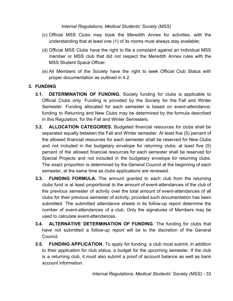- (c) Official MSS Clubs may book the Meredith Annex for activities, with the understanding that at least one (1) of its rooms must always stay available;
- (d) Official MSS Clubs have the right to file a complaint against an individual MSS member or MSS club that did not respect the Meredith Annex rules with the MSS Student Space Officer.
- (e) All Members of the Society have the right to seek Official Club Status with proper documentation as outlined in 4.2.

#### <span id="page-32-0"></span>**3. FUNDING**

- **3.1. DETERMINATION OF FUNDING.** Society funding for clubs is applicable to Official Clubs only. Funding is provided by the Society for the Fall and Winter Semester. Funding allocated for each semester is based on event-attendance; funding to Returning and New Clubs may be determined by the formula described in this Regulation, for the Fall and Winter Semesters.
- **3.2. ALLOCATION CATEGORIES.** Budgeted financial resources for clubs shall be separated equally between the Fall and Winter semester. At least five (5) percent of the allowed financial resources for each semester shall be reserved for New Clubs and not included in the budgetary envelope for returning clubs; at least five (5) percent of the allowed financial resources for each semester shall be reserved for Special Projects and not included in the budgetary envelope for returning clubs. The exact proportion is determined by the General Council at the beginning of each semester, at the same time as clubs applications are reviewed.
- **3.3. FUNDING FORMULA.** The amount granted to each club from the returning clubs fund is at least proportional to the amount of event-attendances of the club of the previous semester of activity over the total amount of event-attendances of all clubs for their previous semester of activity, provided such documentation has been submitted. The submitted attendance sheets in its follow-up report determine the number of event-attendances of a club. Only the signatures of Members may be used to calculate event-attendances.
- **3.4. ALTERNATIVE DETERMINATION OF FUNDING.** The funding for clubs that have not submitted a follow-up report will be to the discretion of the General Council.
- **3.5. FUNDING APPLICATION.** To apply for funding, a club must submit, in addition to their application for club status, a budget for the upcoming semester. If the club is a returning club, it must also submit a proof of account balance as well as bank account information.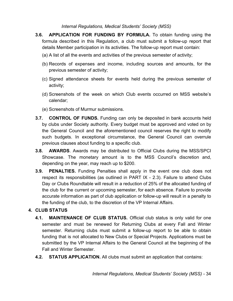- **3.6. APPLICATION FOR FUNDING BY FORMULA.** To obtain funding using the formula described in this Regulation, a club must submit a follow-up report that details Member participation in its activities. The follow-up report must contain:
	- (a) A list of all the events and activities of the previous semester of activity;
	- (b) Records of expenses and income, including sources and amounts, for the previous semester of activity;
	- (c) Signed attendance sheets for events held during the previous semester of activity;
	- (d) Screenshots of the week on which Club events occurred on MSS website's calendar;
	- (e) Screenshots of Murmur submissions.
- **3.7. CONTROL OF FUNDS.** Funding can only be deposited in bank accounts held by clubs under Society authority. Every budget must be approved and voted on by the General Council and the aforementioned council reserves the right to modify such budgets. In exceptional circumstance, the General Council can overrule previous clauses about funding to a specific club.
- **3.8. AWARDS**. Awards may be distributed to Official Clubs during the MSS/SPCI Showcase. The monetary amount is to the MSS Council's discretion and, depending on the year, may reach up to \$200.
- **3.9. PENALTIES.** Funding Penalties shall apply in the event one club does not respect its responsibilities (as outlined in PART IX - 2.3). Failure to attend Clubs Day or Clubs Roundtable will result in a reduction of 25% of the allocated funding of the club for the current or upcoming semester, for each absence. Failure to provide accurate information as part of club application or follow-up will result in a penalty to the funding of the club, to the discretion of the VP Internal Affairs.

# <span id="page-33-0"></span>**4. CLUB STATUS**

- **4.1. MAINTENANCE OF CLUB STATUS.** Official club status is only valid for one semester and must be renewed for Returning Clubs at every Fall and Winter semester. Returning clubs must submit a follow-up report to be able to obtain funding that is not allocated to New Clubs or Special Projects. Applications must be submitted by the VP Internal Affairs to the General Council at the beginning of the Fall and Winter Semester.
- **4.2. STATUS APPLICATION.** All clubs must submit an application that contains: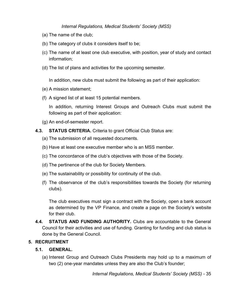- (a) The name of the club;
- (b) The category of clubs it considers itself to be;
- (c) The name of at least one club executive, with position, year of study and contact information;
- (d) The list of plans and activities for the upcoming semester.

In addition, new clubs must submit the following as part of their application:

- (e) A mission statement;
- (f) A signed list of at least 15 potential members.

In addition, returning Interest Groups and Outreach Clubs must submit the following as part of their application:

- (g) An end-of-semester report.
- **4.3. STATUS CRITERIA.** Criteria to grant Official Club Status are:
	- (a) The submission of all requested documents.
	- (b) Have at least one executive member who is an MSS member.
	- (c) The concordance of the club's objectives with those of the Society.
	- (d) The pertinence of the club for Society Members.
	- (e) The sustainability or possibility for continuity of the club.
	- (f) The observance of the club's responsibilities towards the Society (for returning clubs).

The club executives must sign a contract with the Society, open a bank account as determined by the VP Finance, and create a page on the Society's website for their club.

**4.4. STATUS AND FUNDING AUTHORITY.** Clubs are accountable to the General Council for their activities and use of funding. Granting for funding and club status is done by the General Council.

#### <span id="page-34-0"></span>**5. RECRUITMENT**

#### **5.1. GENERAL.**

(a) Interest Group and Outreach Clubs Presidents may hold up to a maximum of two (2) one-year mandates unless they are also the Club's founder;

*Internal Regulations, Medical Students' Society (MSS) -* 35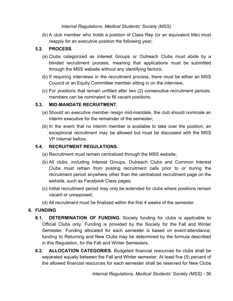(b) A club member who holds a position of Class Rep (or an equivalent title) must reapply for an executive position the following year;

# **5.2. PROCESS.**

- (a) Clubs categorized as Interest Groups or Outreach Clubs must abide by a blinded recruitment process, meaning that applications must be submitted through the MSS website without any identifying factors;
- (b) If requiring interviews in the recruitment process, there must be either an MSS Council or an Equity Committee member sitting in on the interview;
- (c) For positions that remain unfilled after two (2) consecutive recruitment periods, members can be nominated to fill vacant positions.

# **5.3. MID-MANDATE RECRUITMENT.**

- (a) Should an executive member resign mid-mandate, the club should nominate an interim executive for the remainder of the semester;
- (b) In the event that no interim member is available to take over the position, an exceptional recruitment may be allowed but must be discussed with the MSS VP Internal before.

# **5.4. RECRUITMENT REGULATIONS.**

- (a) Recruitment must remain centralized through the MSS website;
- (b) All clubs, including Interest Groups, Outreach Clubs and Common Interest Clubs must refrain from posting recruitment calls prior to or during the recruitment period anywhere other than the centralized recruitment page on the website, such as Facebook Class pages;
- (c) Initial recruitment period may only be extended for clubs where positions remain vacant or unopposed;
- (d) All recruitment must be finalized within the first 4 weeks of the semester.

# <span id="page-35-0"></span>**6. FUNDING**

- **6.1. DETERMINATION OF FUNDING.** Society funding for clubs is applicable to Official Clubs only. Funding is provided by the Society for the Fall and Winter Semester. Funding allocated for each semester is based on event-attendance; funding to Returning and New Clubs may be determined by the formula described in this Regulation, for the Fall and Winter Semesters.
- **6.2. ALLOCATION CATEGORIES.** Budgeted financial resources for clubs shall be separated equally between the Fall and Winter semester. At least five (5) percent of the allowed financial resources for each semester shall be reserved for New Clubs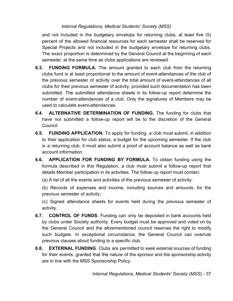and not included in the budgetary envelope for returning clubs; at least five (5) percent of the allowed financial resources for each semester shall be reserved for Special Projects and not included in the budgetary envelope for returning clubs. The exact proportion is determined by the General Council at the beginning of each semester, at the same time as clubs applications are reviewed.

- **6.3. FUNDING FORMULA.** The amount granted to each club from the returning clubs fund is at least proportional to the amount of event-attendances of the club of the previous semester of activity over the total amount of event-attendances of all clubs for their previous semester of activity, provided such documentation has been submitted. The submitted attendance sheets in its follow-up report determine the number of event-attendances of a club. Only the signatures of Members may be used to calculate event-attendances.
- **6.4. ALTERNATIVE DETERMINATION OF FUNDING.** The funding for clubs that have not submitted a follow-up report will be to the discretion of the General Council.
- **6.5. FUNDING APPLICATION.** To apply for funding, a club must submit, in addition to their application for club status, a budget for the upcoming semester. If the club is a returning club, it must also submit a proof of account balance as well as bank account information.
- **6.6. APPLICATION FOR FUNDING BY FORMULA.** To obtain funding using the formula described in this Regulation, a club must submit a follow-up report that details Member participation in its activities. The follow-up report must contain:
	- (a) A list of all the events and activities of the previous semester of activity;

(b) Records of expenses and income, including sources and amounts, for the previous semester of activity;

(c) Signed attendance sheets for events held during the previous semester of activity.

- **6.7. CONTROL OF FUNDS.** Funding can only be deposited in bank accounts held by clubs under Society authority. Every budget must be approved and voted on by the General Council and the aforementioned council reserves the right to modify such budgets. In exceptional circumstance, the General Council can overrule previous clauses about funding to a specific club.
- **6.8. EXTERNAL FUNDING**. Clubs are permitted to seek external sources of funding for their events, granted that the nature of the sponsor and the sponsorship activity are in line with the MSS Sponsorship Policy.